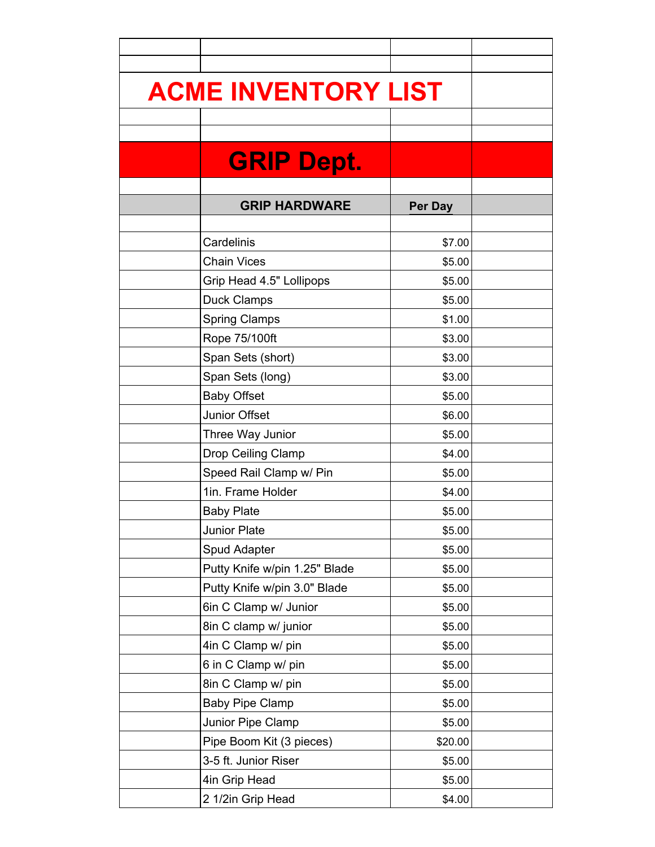| <b>ACME INVENTORY LIST</b>    |         |  |
|-------------------------------|---------|--|
|                               |         |  |
|                               |         |  |
| <b>GRIP Dept.</b>             |         |  |
|                               |         |  |
|                               |         |  |
| <b>GRIP HARDWARE</b>          | Per Day |  |
| Cardelinis                    | \$7.00  |  |
| <b>Chain Vices</b>            | \$5.00  |  |
| Grip Head 4.5" Lollipops      | \$5.00  |  |
| <b>Duck Clamps</b>            | \$5.00  |  |
| <b>Spring Clamps</b>          | \$1.00  |  |
| Rope 75/100ft                 | \$3.00  |  |
| Span Sets (short)             | \$3.00  |  |
| Span Sets (long)              | \$3.00  |  |
| <b>Baby Offset</b>            | \$5.00  |  |
| Junior Offset                 | \$6.00  |  |
| Three Way Junior              | \$5.00  |  |
| Drop Ceiling Clamp            | \$4.00  |  |
| Speed Rail Clamp w/ Pin       | \$5.00  |  |
| 1in. Frame Holder             | \$4.00  |  |
| <b>Baby Plate</b>             | \$5.00  |  |
| Junior Plate                  | \$5.00  |  |
| Spud Adapter                  | \$5.00  |  |
| Putty Knife w/pin 1.25" Blade | \$5.00  |  |
| Putty Knife w/pin 3.0" Blade  | \$5.00  |  |
| 6in C Clamp w/ Junior         | \$5.00  |  |
| 8in C clamp w/ junior         | \$5.00  |  |
| 4in C Clamp w/ pin            | \$5.00  |  |
| 6 in C Clamp w/ pin           | \$5.00  |  |
| 8in C Clamp w/ pin            | \$5.00  |  |
| <b>Baby Pipe Clamp</b>        | \$5.00  |  |
| Junior Pipe Clamp             | \$5.00  |  |
| Pipe Boom Kit (3 pieces)      | \$20.00 |  |
| 3-5 ft. Junior Riser          | \$5.00  |  |
| 4in Grip Head                 | \$5.00  |  |
| 2 1/2in Grip Head             | \$4.00  |  |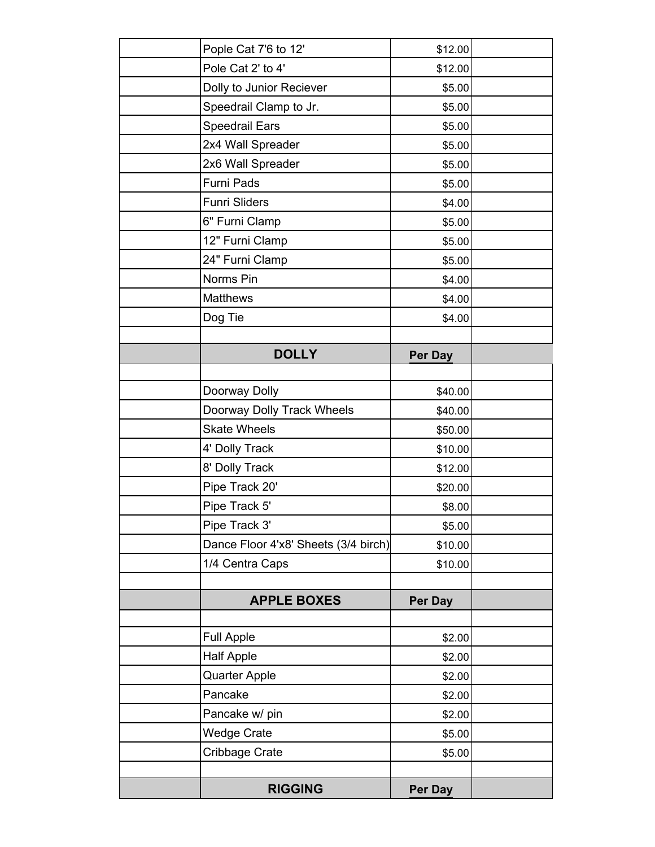| Pople Cat 7'6 to 12'                 | \$12.00 |  |
|--------------------------------------|---------|--|
| Pole Cat 2' to 4'                    | \$12.00 |  |
| Dolly to Junior Reciever             | \$5.00  |  |
| Speedrail Clamp to Jr.               | \$5.00  |  |
| Speedrail Ears                       | \$5.00  |  |
| 2x4 Wall Spreader                    | \$5.00  |  |
| 2x6 Wall Spreader                    | \$5.00  |  |
| Furni Pads                           | \$5.00  |  |
| <b>Funri Sliders</b>                 | \$4.00  |  |
| 6" Furni Clamp                       | \$5.00  |  |
| 12" Furni Clamp                      | \$5.00  |  |
| 24" Furni Clamp                      | \$5.00  |  |
| Norms Pin                            | \$4.00  |  |
| <b>Matthews</b>                      | \$4.00  |  |
| Dog Tie                              | \$4.00  |  |
|                                      |         |  |
| <b>DOLLY</b>                         | Per Day |  |
|                                      |         |  |
| Doorway Dolly                        | \$40.00 |  |
| Doorway Dolly Track Wheels           | \$40.00 |  |
| <b>Skate Wheels</b>                  | \$50.00 |  |
| 4' Dolly Track                       | \$10.00 |  |
| 8' Dolly Track                       | \$12.00 |  |
| Pipe Track 20'                       | \$20.00 |  |
| Pipe Track 5'                        | \$8.00  |  |
| Pipe Track 3'                        | \$5.00  |  |
| Dance Floor 4'x8' Sheets (3/4 birch) | \$10.00 |  |
| 1/4 Centra Caps                      | \$10.00 |  |
|                                      |         |  |
| <b>APPLE BOXES</b>                   | Per Day |  |
|                                      |         |  |
| <b>Full Apple</b>                    | \$2.00  |  |
| <b>Half Apple</b>                    | \$2.00  |  |
| <b>Quarter Apple</b>                 | \$2.00  |  |
| Pancake                              | \$2.00  |  |
| Pancake w/ pin                       | \$2.00  |  |
| <b>Wedge Crate</b>                   | \$5.00  |  |
| Cribbage Crate                       | \$5.00  |  |
|                                      |         |  |
| <b>RIGGING</b>                       | Per Day |  |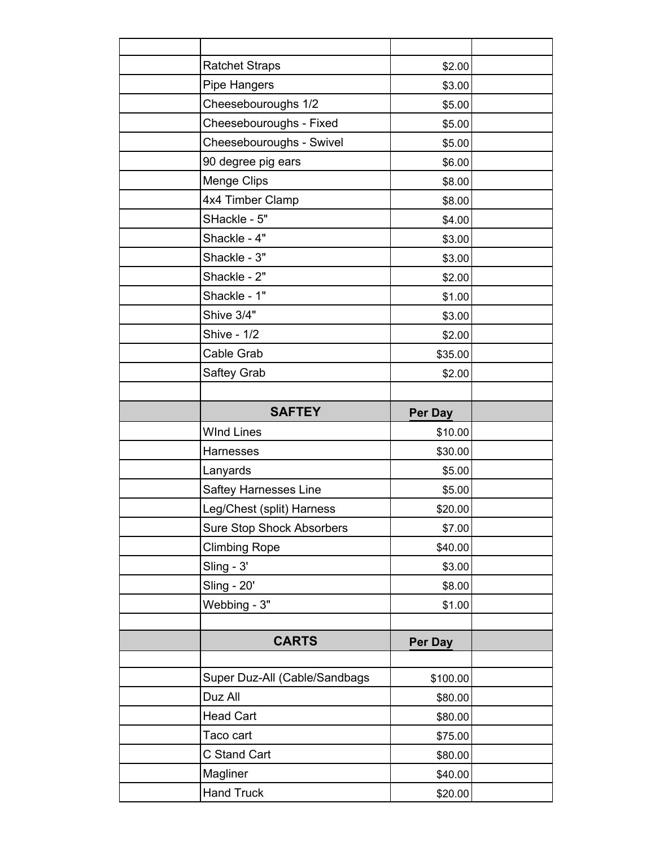| <b>Ratchet Straps</b>            | \$2.00         |  |
|----------------------------------|----------------|--|
| <b>Pipe Hangers</b>              | \$3.00         |  |
| Cheesebouroughs 1/2              | \$5.00         |  |
| Cheesebouroughs - Fixed          | \$5.00         |  |
| Cheesebouroughs - Swivel         | \$5.00         |  |
| 90 degree pig ears               | \$6.00         |  |
| Menge Clips                      | \$8.00         |  |
| 4x4 Timber Clamp                 | \$8.00         |  |
| SHackle - 5"                     | \$4.00         |  |
| Shackle - 4"                     | \$3.00         |  |
| Shackle - 3"                     | \$3.00         |  |
| Shackle - 2"                     | \$2.00         |  |
| Shackle - 1"                     | \$1.00         |  |
| Shive 3/4"                       | \$3.00         |  |
| <b>Shive - 1/2</b>               | \$2.00         |  |
| Cable Grab                       | \$35.00        |  |
| Saftey Grab                      | \$2.00         |  |
|                                  |                |  |
| <b>SAFTEY</b>                    | Per Day        |  |
|                                  |                |  |
| <b>WInd Lines</b>                | \$10.00        |  |
| <b>Harnesses</b>                 | \$30.00        |  |
| Lanyards                         | \$5.00         |  |
| Saftey Harnesses Line            | \$5.00         |  |
| Leg/Chest (split) Harness        | \$20.00        |  |
| <b>Sure Stop Shock Absorbers</b> | \$7.00         |  |
| <b>Climbing Rope</b>             | \$40.00        |  |
| Sling - 3'                       | \$3.00         |  |
| <b>Sling - 20'</b>               | \$8.00         |  |
| Webbing - 3"                     | \$1.00         |  |
|                                  |                |  |
| <b>CARTS</b>                     | <b>Per Day</b> |  |
|                                  |                |  |
| Super Duz-All (Cable/Sandbags    | \$100.00       |  |
| Duz All                          | \$80.00        |  |
| <b>Head Cart</b>                 | \$80.00        |  |
| Taco cart                        | \$75.00        |  |
| C Stand Cart                     | \$80.00        |  |
| Magliner                         | \$40.00        |  |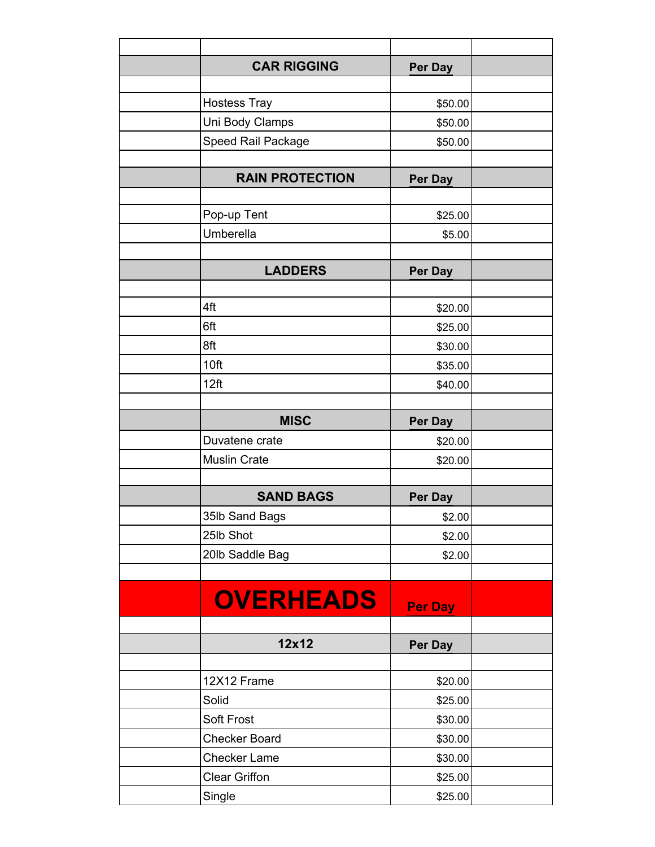| <b>CAR RIGGING</b>     | Per Day |  |
|------------------------|---------|--|
|                        |         |  |
| <b>Hostess Tray</b>    | \$50.00 |  |
| Uni Body Clamps        | \$50.00 |  |
| Speed Rail Package     | \$50.00 |  |
|                        |         |  |
| <b>RAIN PROTECTION</b> | Per Day |  |
|                        |         |  |
| Pop-up Tent            | \$25.00 |  |
| Umberella              | \$5.00  |  |
|                        |         |  |
| <b>LADDERS</b>         | Per Day |  |
|                        |         |  |
| 4ft                    | \$20.00 |  |
| 6ft                    | \$25.00 |  |
| 8ft                    | \$30.00 |  |
| 10ft                   | \$35.00 |  |
| 12ft                   | \$40.00 |  |
|                        |         |  |
| <b>MISC</b>            | Per Day |  |
| Duvatene crate         | \$20.00 |  |
| <b>Muslin Crate</b>    | \$20.00 |  |
|                        |         |  |
| <b>SAND BAGS</b>       | Per Day |  |
| 35lb Sand Bags         | \$2.00  |  |
| 25lb Shot              | \$2.00  |  |
| 20lb Saddle Bag        | \$2.00  |  |
|                        |         |  |
| <b>OVERHEADS</b>       |         |  |
|                        | Per Day |  |
|                        |         |  |
| 12x12                  | Per Day |  |
|                        |         |  |
| 12X12 Frame            | \$20.00 |  |
| Solid                  | \$25.00 |  |
| Soft Frost             | \$30.00 |  |
| <b>Checker Board</b>   | \$30.00 |  |
| <b>Checker Lame</b>    | \$30.00 |  |
| <b>Clear Griffon</b>   | \$25.00 |  |
| Single                 | \$25.00 |  |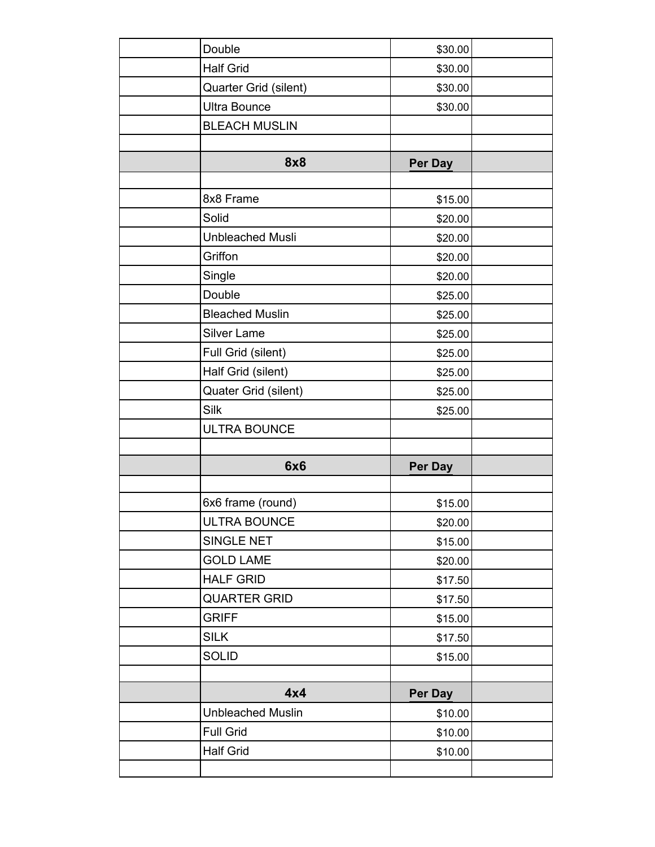|                          | \$30.00 |  |
|--------------------------|---------|--|
| <b>Half Grid</b>         | \$30.00 |  |
| Quarter Grid (silent)    | \$30.00 |  |
| <b>Ultra Bounce</b>      | \$30.00 |  |
| <b>BLEACH MUSLIN</b>     |         |  |
|                          |         |  |
| 8x8                      | Per Day |  |
|                          |         |  |
| 8x8 Frame                | \$15.00 |  |
| Solid                    | \$20.00 |  |
| <b>Unbleached Musli</b>  | \$20.00 |  |
| Griffon                  | \$20.00 |  |
| Single                   | \$20.00 |  |
| Double                   | \$25.00 |  |
| <b>Bleached Muslin</b>   | \$25.00 |  |
| Silver Lame              | \$25.00 |  |
| Full Grid (silent)       | \$25.00 |  |
| Half Grid (silent)       | \$25.00 |  |
| Quater Grid (silent)     | \$25.00 |  |
| Silk                     | \$25.00 |  |
| <b>ULTRA BOUNCE</b>      |         |  |
|                          |         |  |
| <b>6x6</b>               | Per Day |  |
|                          |         |  |
| 6x6 frame (round)        | \$15.00 |  |
| ULTRA BOUNCE             | \$20.00 |  |
|                          |         |  |
| SINGLE NET               | \$15.00 |  |
| <b>GOLD LAME</b>         | \$20.00 |  |
| <b>HALF GRID</b>         | \$17.50 |  |
| <b>QUARTER GRID</b>      | \$17.50 |  |
| <b>GRIFF</b>             | \$15.00 |  |
| <b>SILK</b>              | \$17.50 |  |
| <b>SOLID</b>             | \$15.00 |  |
|                          |         |  |
| 4x4                      | Per Day |  |
| <b>Unbleached Muslin</b> | \$10.00 |  |
| <b>Full Grid</b>         | \$10.00 |  |
| <b>Half Grid</b>         | \$10.00 |  |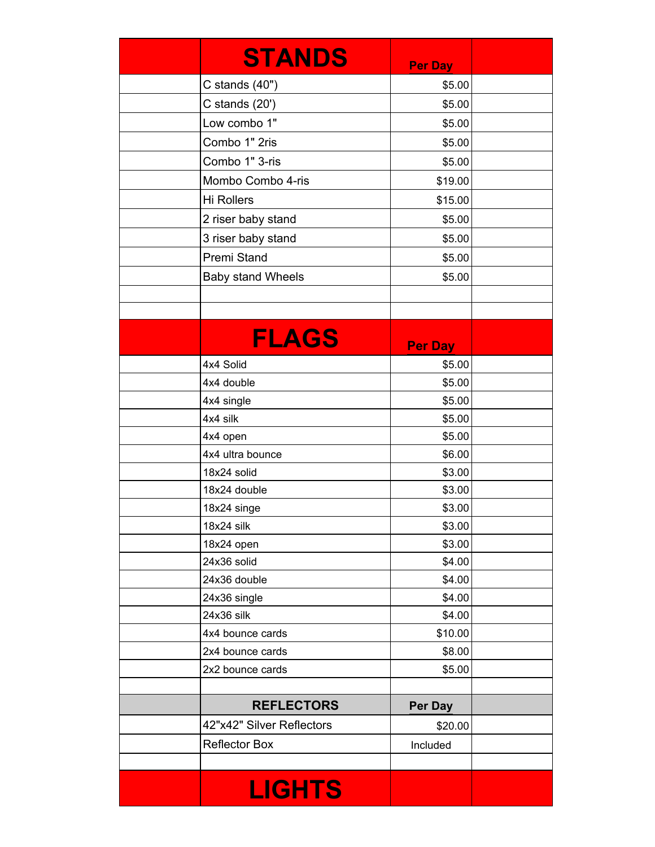| <b>STANDS</b>             | <b>Per Day</b> |  |
|---------------------------|----------------|--|
| C stands $(40")$          | \$5.00         |  |
| C stands $(20')$          | \$5.00         |  |
| Low combo 1"              | \$5.00         |  |
| Combo 1" 2ris             | \$5.00         |  |
| Combo 1" 3-ris            | \$5.00         |  |
| Mombo Combo 4-ris         | \$19.00        |  |
| <b>Hi Rollers</b>         | \$15.00        |  |
| 2 riser baby stand        | \$5.00         |  |
| 3 riser baby stand        | \$5.00         |  |
| Premi Stand               | \$5.00         |  |
| <b>Baby stand Wheels</b>  | \$5.00         |  |
|                           |                |  |
|                           |                |  |
|                           |                |  |
| <b>FLAGS</b>              | <b>Per Day</b> |  |
| 4x4 Solid                 | \$5.00         |  |
| 4x4 double                | \$5.00         |  |
| 4x4 single                | \$5.00         |  |
| 4x4 silk                  | \$5.00         |  |
| 4x4 open                  | \$5.00         |  |
| 4x4 ultra bounce          | \$6.00         |  |
| 18x24 solid               | \$3.00         |  |
| 18x24 double              | \$3.00         |  |
| 18x24 singe               | \$3.00         |  |
| 18x24 silk                | \$3.00         |  |
| 18x24 open                | \$3.00         |  |
| 24x36 solid               | \$4.00         |  |
| 24x36 double              | \$4.00         |  |
| 24x36 single              | \$4.00         |  |
| 24x36 silk                | \$4.00         |  |
| 4x4 bounce cards          | \$10.00        |  |
| 2x4 bounce cards          | \$8.00         |  |
| 2x2 bounce cards          | \$5.00         |  |
| <b>REFLECTORS</b>         | <b>Per Day</b> |  |
| 42"x42" Silver Reflectors | \$20.00        |  |
| <b>Reflector Box</b>      | Included       |  |
|                           |                |  |
| <b>LIGHTS</b>             |                |  |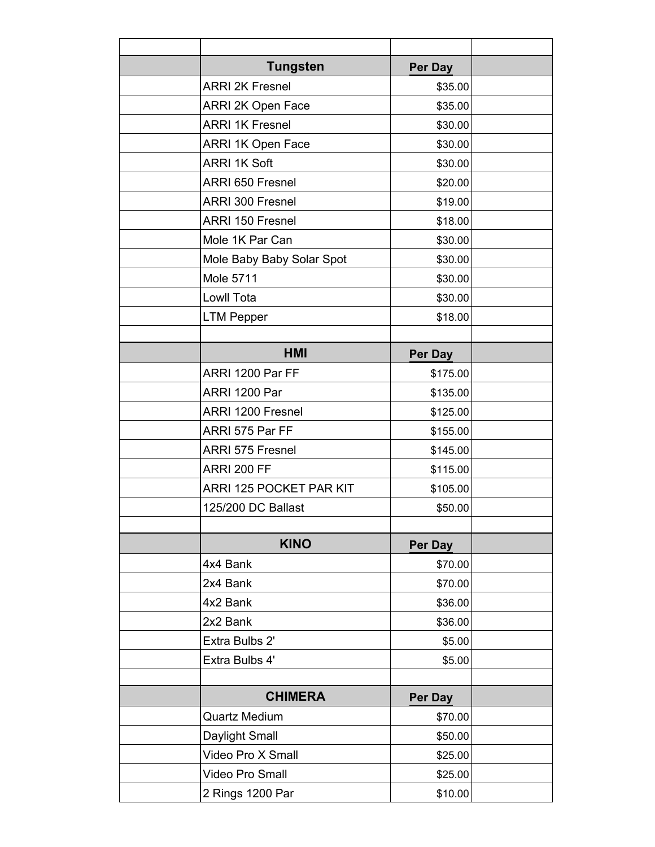| <b>Tungsten</b>           | Per Day        |  |
|---------------------------|----------------|--|
| <b>ARRI 2K Fresnel</b>    | \$35.00        |  |
| ARRI 2K Open Face         | \$35.00        |  |
| <b>ARRI 1K Fresnel</b>    | \$30.00        |  |
| <b>ARRI 1K Open Face</b>  | \$30.00        |  |
| <b>ARRI 1K Soft</b>       | \$30.00        |  |
| ARRI 650 Fresnel          | \$20.00        |  |
| <b>ARRI 300 Fresnel</b>   | \$19.00        |  |
| ARRI 150 Fresnel          | \$18.00        |  |
| Mole 1K Par Can           | \$30.00        |  |
| Mole Baby Baby Solar Spot | \$30.00        |  |
| <b>Mole 5711</b>          | \$30.00        |  |
| Lowll Tota                | \$30.00        |  |
| <b>LTM Pepper</b>         | \$18.00        |  |
|                           |                |  |
| <b>HMI</b>                | Per Day        |  |
| ARRI 1200 Par FF          | \$175.00       |  |
| ARRI 1200 Par             | \$135.00       |  |
| ARRI 1200 Fresnel         | \$125.00       |  |
| ARRI 575 Par FF           | \$155.00       |  |
| <b>ARRI 575 Fresnel</b>   | \$145.00       |  |
| ARRI 200 FF               | \$115.00       |  |
| ARRI 125 POCKET PAR KIT   | \$105.00       |  |
| 125/200 DC Ballast        | \$50.00        |  |
|                           |                |  |
| <b>KINO</b>               | Per Day        |  |
| 4x4 Bank                  | \$70.00        |  |
| 2x4 Bank                  | \$70.00        |  |
| 4x2 Bank                  | \$36.00        |  |
| 2x2 Bank                  | \$36.00        |  |
| Extra Bulbs 2'            | \$5.00         |  |
| Extra Bulbs 4'            | \$5.00         |  |
|                           |                |  |
| <b>CHIMERA</b>            | <b>Per Day</b> |  |
| <b>Quartz Medium</b>      | \$70.00        |  |
| Daylight Small            | \$50.00        |  |
| Video Pro X Small         | \$25.00        |  |
| Video Pro Small           | \$25.00        |  |
| 2 Rings 1200 Par          | \$10.00        |  |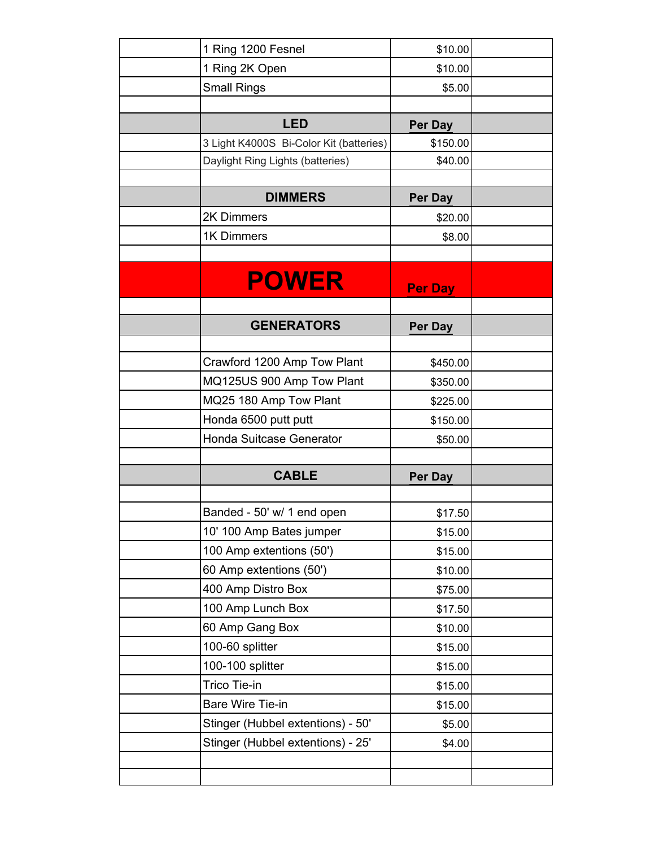| 1 Ring 1200 Fesnel                      | \$10.00        |  |
|-----------------------------------------|----------------|--|
| 1 Ring 2K Open                          | \$10.00        |  |
| <b>Small Rings</b>                      | \$5.00         |  |
|                                         |                |  |
| <b>LED</b>                              | Per Day        |  |
| 3 Light K4000S Bi-Color Kit (batteries) | \$150.00       |  |
| Daylight Ring Lights (batteries)        | \$40.00        |  |
|                                         |                |  |
| <b>DIMMERS</b>                          | Per Day        |  |
| 2K Dimmers                              | \$20.00        |  |
| 1K Dimmers                              | \$8.00         |  |
|                                         |                |  |
| <b>POWER</b>                            |                |  |
|                                         | <b>Per Day</b> |  |
|                                         |                |  |
| <b>GENERATORS</b>                       | Per Day        |  |
| Crawford 1200 Amp Tow Plant             | \$450.00       |  |
| MQ125US 900 Amp Tow Plant               | \$350.00       |  |
| MQ25 180 Amp Tow Plant                  | \$225.00       |  |
| Honda 6500 putt putt                    | \$150.00       |  |
| Honda Suitcase Generator                | \$50.00        |  |
|                                         |                |  |
| <b>CABLE</b>                            | <b>Per Day</b> |  |
|                                         |                |  |
| Banded - 50' w/ 1 end open              | \$17.50        |  |
| 10' 100 Amp Bates jumper                | \$15.00        |  |
| 100 Amp extentions (50')                | \$15.00        |  |
| 60 Amp extentions (50')                 | \$10.00        |  |
| 400 Amp Distro Box                      | \$75.00        |  |
| 100 Amp Lunch Box                       | \$17.50        |  |
| 60 Amp Gang Box                         | \$10.00        |  |
| 100-60 splitter                         | \$15.00        |  |
| 100-100 splitter                        | \$15.00        |  |
| Trico Tie-in                            | \$15.00        |  |
| Bare Wire Tie-in                        | \$15.00        |  |
| Stinger (Hubbel extentions) - 50'       | \$5.00         |  |
| Stinger (Hubbel extentions) - 25'       | \$4.00         |  |
|                                         |                |  |
|                                         |                |  |